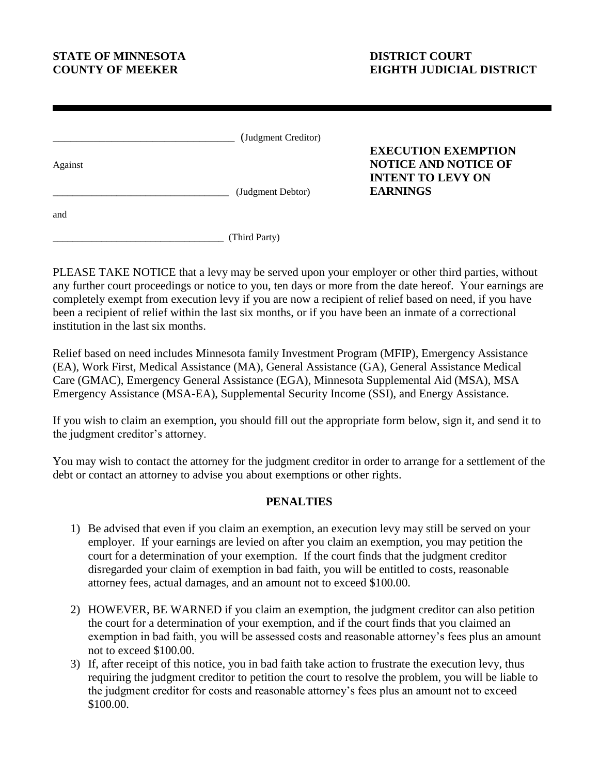## **STATE OF MINNESOTA DISTRICT COURT**

## **COUNTY OF MEEKER EIGHTH JUDICIAL DISTRICT**

|         | (Judgment Creditor) | <b>EXECUTION EXEMPTION</b>                                                 |
|---------|---------------------|----------------------------------------------------------------------------|
| Against | (Judgment Debtor)   | <b>NOTICE AND NOTICE OF</b><br><b>INTENT TO LEVY ON</b><br><b>EARNINGS</b> |
| and     |                     |                                                                            |

 $\sqrt{(\text{Third Party})^2}$ 

PLEASE TAKE NOTICE that a levy may be served upon your employer or other third parties, without any further court proceedings or notice to you, ten days or more from the date hereof. Your earnings are completely exempt from execution levy if you are now a recipient of relief based on need, if you have been a recipient of relief within the last six months, or if you have been an inmate of a correctional institution in the last six months.

Relief based on need includes Minnesota family Investment Program (MFIP), Emergency Assistance (EA), Work First, Medical Assistance (MA), General Assistance (GA), General Assistance Medical Care (GMAC), Emergency General Assistance (EGA), Minnesota Supplemental Aid (MSA), MSA Emergency Assistance (MSA-EA), Supplemental Security Income (SSI), and Energy Assistance.

If you wish to claim an exemption, you should fill out the appropriate form below, sign it, and send it to the judgment creditor's attorney.

You may wish to contact the attorney for the judgment creditor in order to arrange for a settlement of the debt or contact an attorney to advise you about exemptions or other rights.

## **PENALTIES**

- 1) Be advised that even if you claim an exemption, an execution levy may still be served on your employer. If your earnings are levied on after you claim an exemption, you may petition the court for a determination of your exemption. If the court finds that the judgment creditor disregarded your claim of exemption in bad faith, you will be entitled to costs, reasonable attorney fees, actual damages, and an amount not to exceed \$100.00.
- 2) HOWEVER, BE WARNED if you claim an exemption, the judgment creditor can also petition the court for a determination of your exemption, and if the court finds that you claimed an exemption in bad faith, you will be assessed costs and reasonable attorney's fees plus an amount not to exceed \$100.00.
- 3) If, after receipt of this notice, you in bad faith take action to frustrate the execution levy, thus requiring the judgment creditor to petition the court to resolve the problem, you will be liable to the judgment creditor for costs and reasonable attorney's fees plus an amount not to exceed \$100.00.